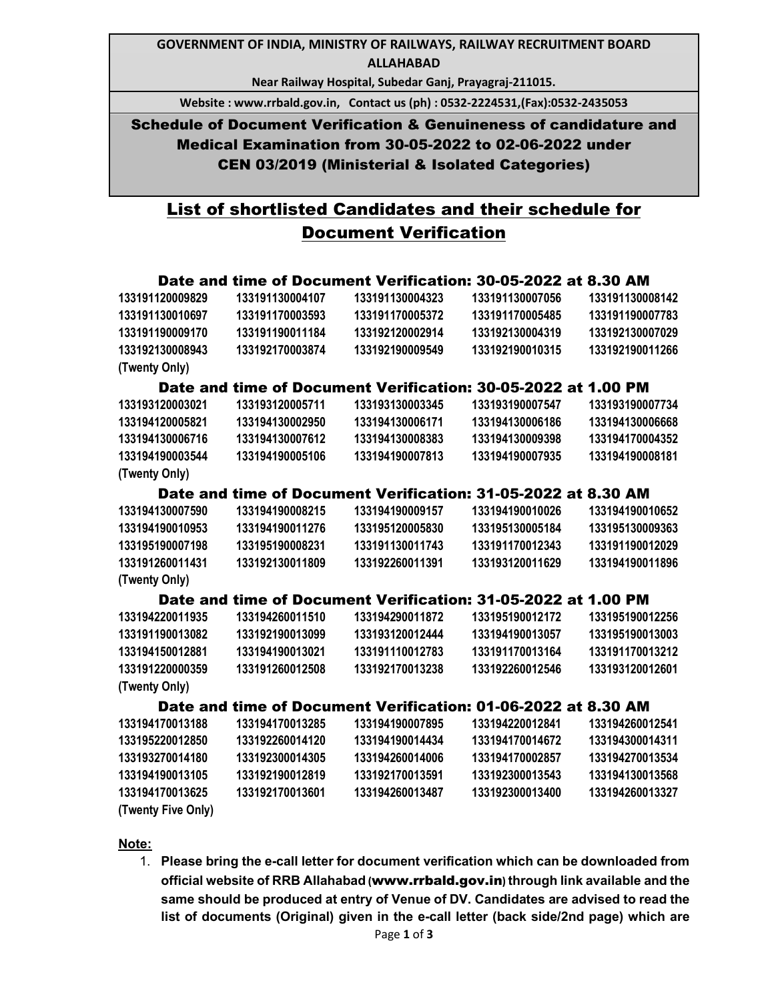## **GOVERNMENT OF INDIA, MINISTRY OF RAILWAYS, RAILWAY RECRUITMENT BOARD ALLAHABAD**

**Near Railway Hospital, Subedar Ganj, Prayagraj-211015.** 

**Website : www.rrbald.gov.in, Contact us (ph) : 0532-2224531,(Fax):0532-2435053** 

Schedule of Document Verification & Genuineness of candidature and Medical Examination from 30-05-2022 to 02-06-2022 under CEN 03/2019 (Ministerial & Isolated Categories)

## List of shortlisted Candidates and their schedule for Document Verification

|                                                               |                 | Date and time of Document Verification: 30-05-2022 at 8.30 AM |                 |                 |
|---------------------------------------------------------------|-----------------|---------------------------------------------------------------|-----------------|-----------------|
| 133191120009829                                               | 133191130004107 | 133191130004323                                               | 133191130007056 | 133191130008142 |
| 133191130010697                                               | 133191170003593 | 133191170005372                                               | 133191170005485 | 133191190007783 |
| 133191190009170                                               | 133191190011184 | 133192120002914                                               | 133192130004319 | 133192130007029 |
| 133192130008943                                               | 133192170003874 | 133192190009549                                               | 133192190010315 | 133192190011266 |
| (Twenty Only)                                                 |                 |                                                               |                 |                 |
| Date and time of Document Verification: 30-05-2022 at 1.00 PM |                 |                                                               |                 |                 |
|                                                               |                 |                                                               |                 |                 |
| 133193120003021                                               | 133193120005711 | 133193130003345                                               | 133193190007547 | 133193190007734 |
| 133194120005821                                               | 133194130002950 | 133194130006171                                               | 133194130006186 | 133194130006668 |
| 133194130006716                                               | 133194130007612 | 133194130008383                                               | 133194130009398 | 133194170004352 |
| 133194190003544                                               | 133194190005106 | 133194190007813                                               | 133194190007935 | 133194190008181 |
| (Twenty Only)                                                 |                 |                                                               |                 |                 |
|                                                               |                 | Date and time of Document Verification: 31-05-2022 at 8.30 AM |                 |                 |
| 133194130007590                                               | 133194190008215 | 133194190009157                                               | 133194190010026 | 133194190010652 |
| 133194190010953                                               | 133194190011276 | 133195120005830                                               | 133195130005184 | 133195130009363 |
| 133195190007198                                               | 133195190008231 | 133191130011743                                               | 133191170012343 | 133191190012029 |
| 133191260011431                                               | 133192130011809 | 133192260011391                                               | 133193120011629 | 133194190011896 |
| (Twenty Only)                                                 |                 |                                                               |                 |                 |
| Date and time of Document Verification: 31-05-2022 at 1.00 PM |                 |                                                               |                 |                 |
| 133194220011935                                               | 133194260011510 | 133194290011872                                               | 133195190012172 | 133195190012256 |
| 133191190013082                                               | 133192190013099 | 133193120012444                                               | 133194190013057 | 133195190013003 |
| 133194150012881                                               | 133194190013021 | 133191110012783                                               | 133191170013164 | 133191170013212 |
| 133191220000359                                               | 133191260012508 | 133192170013238                                               | 133192260012546 | 133193120012601 |
| (Twenty Only)                                                 |                 |                                                               |                 |                 |
| Date and time of Document Verification: 01-06-2022 at 8.30 AM |                 |                                                               |                 |                 |
| 133194170013188                                               | 133194170013285 | 133194190007895                                               | 133194220012841 | 133194260012541 |
| 133195220012850                                               | 133192260014120 | 133194190014434                                               | 133194170014672 | 133194300014311 |
| 133193270014180                                               | 133192300014305 | 133194260014006                                               | 133194170002857 | 133194270013534 |
| 133194190013105                                               | 133192190012819 | 133192170013591                                               | 133192300013543 | 133194130013568 |
| 133194170013625                                               | 133192170013601 | 133194260013487                                               | 133192300013400 | 133194260013327 |
| (Twenty Five Only)                                            |                 |                                                               |                 |                 |

## **Note:**

1. **Please bring the e-call letter for document verification which can be downloaded from official website of RRB Allahabad (**www.rrbald.gov.in**) through link available and the same should be produced at entry of Venue of DV. Candidates are advised to read the list of documents (Original) given in the e-call letter (back side/2nd page) which are**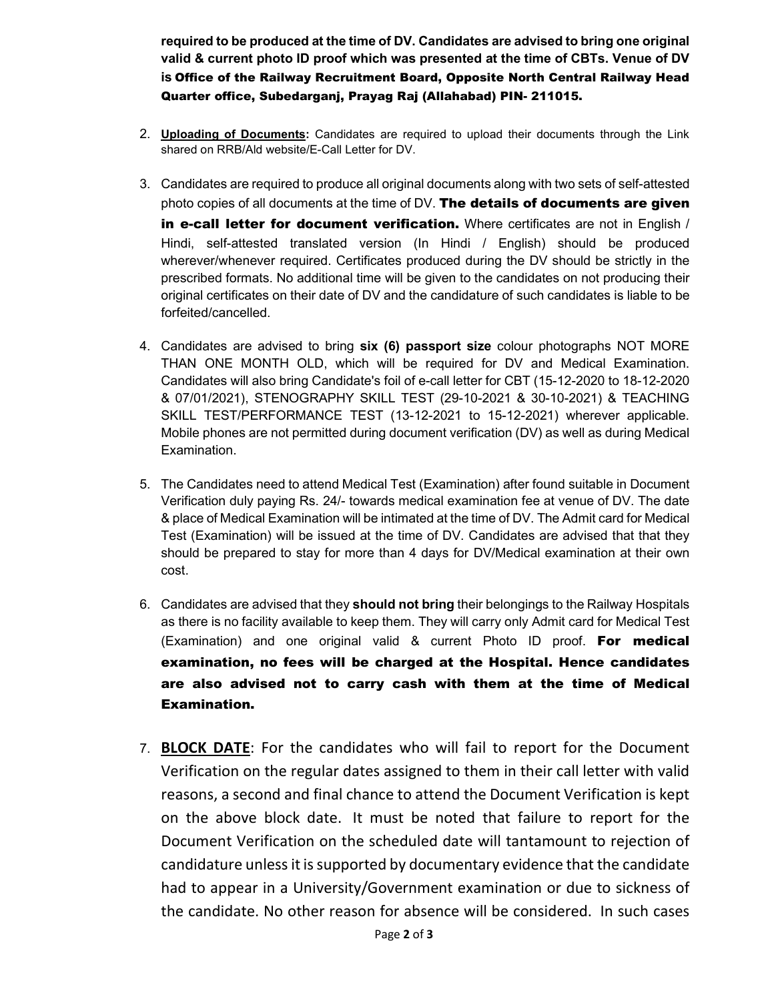**required to be produced at the time of DV. Candidates are advised to bring one original valid & current photo ID proof which was presented at the time of CBTs. Venue of DV is** Office of the Railway Recruitment Board, Opposite North Central Railway Head Quarter office, Subedarganj, Prayag Raj (Allahabad) PIN- 211015.

- 2. **Uploading of Documents:** Candidates are required to upload their documents through the Link shared on RRB/Ald website/E-Call Letter for DV.
- 3. Candidates are required to produce all original documents along with two sets of self-attested photo copies of all documents at the time of DV. The details of documents are given in e-call letter for document verification. Where certificates are not in English / Hindi, self-attested translated version (In Hindi / English) should be produced wherever/whenever required. Certificates produced during the DV should be strictly in the
	- prescribed formats. No additional time will be given to the candidates on not producing their original certificates on their date of DV and the candidature of such candidates is liable to be forfeited/cancelled.
- 4. Candidates are advised to bring **six (6) passport size** colour photographs NOT MORE THAN ONE MONTH OLD, which will be required for DV and Medical Examination. Candidates will also bring Candidate's foil of e-call letter for CBT (15-12-2020 to 18-12-2020 & 07/01/2021), STENOGRAPHY SKILL TEST (29-10-2021 & 30-10-2021) & TEACHING SKILL TEST/PERFORMANCE TEST (13-12-2021 to 15-12-2021) wherever applicable. Mobile phones are not permitted during document verification (DV) as well as during Medical Examination.
- 5. The Candidates need to attend Medical Test (Examination) after found suitable in Document Verification duly paying Rs. 24/- towards medical examination fee at venue of DV. The date & place of Medical Examination will be intimated at the time of DV. The Admit card for Medical Test (Examination) will be issued at the time of DV. Candidates are advised that that they should be prepared to stay for more than 4 days for DV/Medical examination at their own cost.
- 6. Candidates are advised that they **should not bring** their belongings to the Railway Hospitals as there is no facility available to keep them. They will carry only Admit card for Medical Test (Examination) and one original valid & current Photo ID proof. For medical examination, no fees will be charged at the Hospital. Hence candidates are also advised not to carry cash with them at the time of Medical Examination.
- 7. **BLOCK DATE**: For the candidates who will fail to report for the Document Verification on the regular dates assigned to them in their call letter with valid reasons, a second and final chance to attend the Document Verification is kept on the above block date. It must be noted that failure to report for the Document Verification on the scheduled date will tantamount to rejection of candidature unless it is supported by documentary evidence that the candidate had to appear in a University/Government examination or due to sickness of the candidate. No other reason for absence will be considered. In such cases